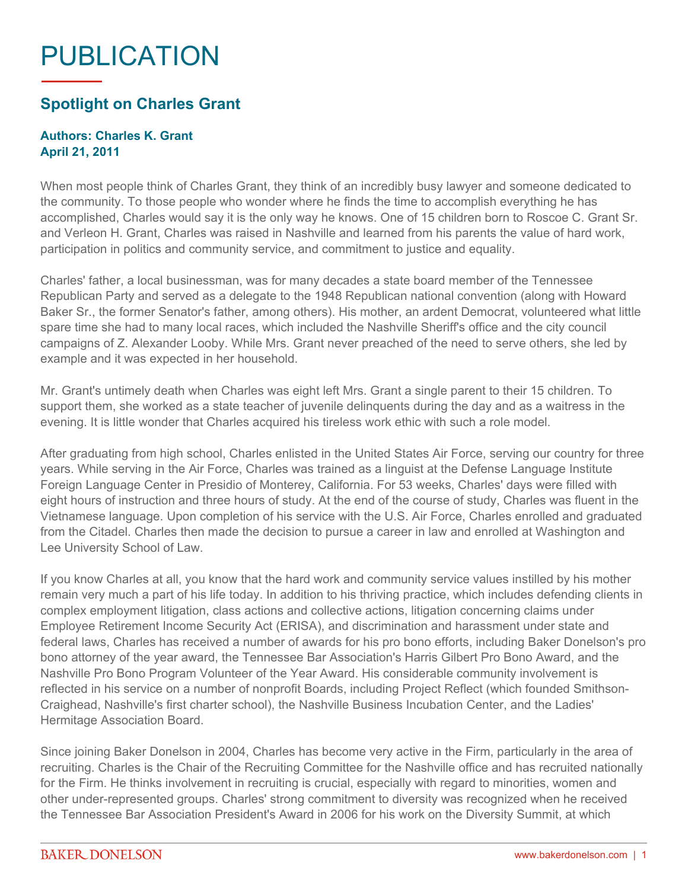## PUBLICATION

## **Spotlight on Charles Grant**

## **Authors: Charles K. Grant April 21, 2011**

When most people think of Charles Grant, they think of an incredibly busy lawyer and someone dedicated to the community. To those people who wonder where he finds the time to accomplish everything he has accomplished, Charles would say it is the only way he knows. One of 15 children born to Roscoe C. Grant Sr. and Verleon H. Grant, Charles was raised in Nashville and learned from his parents the value of hard work, participation in politics and community service, and commitment to justice and equality.

Charles' father, a local businessman, was for many decades a state board member of the Tennessee Republican Party and served as a delegate to the 1948 Republican national convention (along with Howard Baker Sr., the former Senator's father, among others). His mother, an ardent Democrat, volunteered what little spare time she had to many local races, which included the Nashville Sheriff's office and the city council campaigns of Z. Alexander Looby. While Mrs. Grant never preached of the need to serve others, she led by example and it was expected in her household.

Mr. Grant's untimely death when Charles was eight left Mrs. Grant a single parent to their 15 children. To support them, she worked as a state teacher of juvenile delinquents during the day and as a waitress in the evening. It is little wonder that Charles acquired his tireless work ethic with such a role model.

After graduating from high school, Charles enlisted in the United States Air Force, serving our country for three years. While serving in the Air Force, Charles was trained as a linguist at the Defense Language Institute Foreign Language Center in Presidio of Monterey, California. For 53 weeks, Charles' days were filled with eight hours of instruction and three hours of study. At the end of the course of study, Charles was fluent in the Vietnamese language. Upon completion of his service with the U.S. Air Force, Charles enrolled and graduated from the Citadel. Charles then made the decision to pursue a career in law and enrolled at Washington and Lee University School of Law.

If you know Charles at all, you know that the hard work and community service values instilled by his mother remain very much a part of his life today. In addition to his thriving practice, which includes defending clients in complex employment litigation, class actions and collective actions, litigation concerning claims under Employee Retirement Income Security Act (ERISA), and discrimination and harassment under state and federal laws, Charles has received a number of awards for his pro bono efforts, including Baker Donelson's pro bono attorney of the year award, the Tennessee Bar Association's Harris Gilbert Pro Bono Award, and the Nashville Pro Bono Program Volunteer of the Year Award. His considerable community involvement is reflected in his service on a number of nonprofit Boards, including Project Reflect (which founded Smithson-Craighead, Nashville's first charter school), the Nashville Business Incubation Center, and the Ladies' Hermitage Association Board.

Since joining Baker Donelson in 2004, Charles has become very active in the Firm, particularly in the area of recruiting. Charles is the Chair of the Recruiting Committee for the Nashville office and has recruited nationally for the Firm. He thinks involvement in recruiting is crucial, especially with regard to minorities, women and other under-represented groups. Charles' strong commitment to diversity was recognized when he received the Tennessee Bar Association President's Award in 2006 for his work on the Diversity Summit, at which